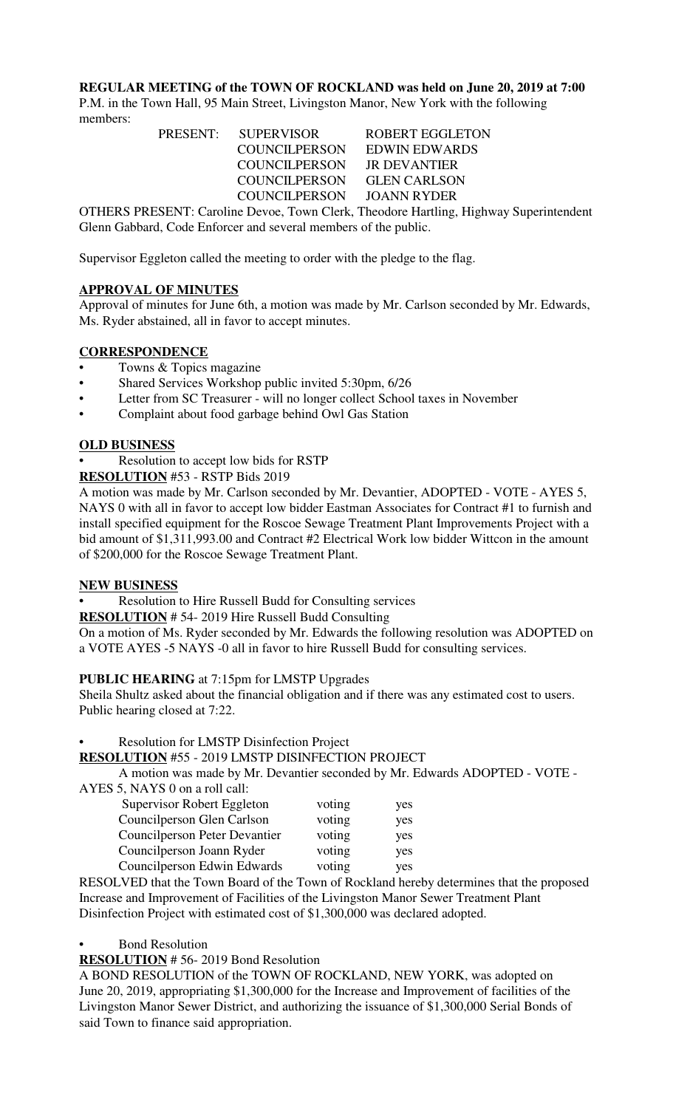**REGULAR MEETING of the TOWN OF ROCKLAND was held on June 20, 2019 at 7:00**

P.M. in the Town Hall, 95 Main Street, Livingston Manor, New York with the following members:

> PRESENT: SUPERVISOR ROBERT EGGLETON COUNCILPERSON EDWIN EDWARDS COUNCILPERSON JR DEVANTIER COUNCILPERSON GLEN CARLSON COUNCILPERSON JOANN RYDER

OTHERS PRESENT: Caroline Devoe, Town Clerk, Theodore Hartling, Highway Superintendent Glenn Gabbard, Code Enforcer and several members of the public.

Supervisor Eggleton called the meeting to order with the pledge to the flag.

#### **APPROVAL OF MINUTES**

Approval of minutes for June 6th, a motion was made by Mr. Carlson seconded by Mr. Edwards, Ms. Ryder abstained, all in favor to accept minutes.

#### **CORRESPONDENCE**

- Towns & Topics magazine
- Shared Services Workshop public invited 5:30pm, 6/26
- Letter from SC Treasurer will no longer collect School taxes in November
- Complaint about food garbage behind Owl Gas Station

#### **OLD BUSINESS**

• Resolution to accept low bids for RSTP

**RESOLUTION** #53 - RSTP Bids 2019

A motion was made by Mr. Carlson seconded by Mr. Devantier, ADOPTED - VOTE - AYES 5, NAYS 0 with all in favor to accept low bidder Eastman Associates for Contract #1 to furnish and install specified equipment for the Roscoe Sewage Treatment Plant Improvements Project with a bid amount of \$1,311,993.00 and Contract #2 Electrical Work low bidder Wittcon in the amount of \$200,000 for the Roscoe Sewage Treatment Plant.

#### **NEW BUSINESS**

• Resolution to Hire Russell Budd for Consulting services

**RESOLUTION** # 54- 2019 Hire Russell Budd Consulting

On a motion of Ms. Ryder seconded by Mr. Edwards the following resolution was ADOPTED on a VOTE AYES -5 NAYS -0 all in favor to hire Russell Budd for consulting services.

#### **PUBLIC HEARING** at 7:15pm for LMSTP Upgrades

Sheila Shultz asked about the financial obligation and if there was any estimated cost to users. Public hearing closed at 7:22.

#### • Resolution for LMSTP Disinfection Project

#### **RESOLUTION** #55 - 2019 LMSTP DISINFECTION PROJECT

A motion was made by Mr. Devantier seconded by Mr. Edwards ADOPTED - VOTE - AYES 5, NAYS 0 on a roll call:

| Supervisor Robert Eggleton    | voting | yes |
|-------------------------------|--------|-----|
| Councilperson Glen Carlson    | voting | yes |
| Councilperson Peter Devantier | voting | yes |
| Councilperson Joann Ryder     | voting | yes |
| Councilperson Edwin Edwards   | voting | yes |

RESOLVED that the Town Board of the Town of Rockland hereby determines that the proposed Increase and Improvement of Facilities of the Livingston Manor Sewer Treatment Plant Disinfection Project with estimated cost of \$1,300,000 was declared adopted.

Bond Resolution

**RESOLUTION** # 56- 2019 Bond Resolution

A BOND RESOLUTION of the TOWN OF ROCKLAND, NEW YORK, was adopted on June 20, 2019, appropriating \$1,300,000 for the Increase and Improvement of facilities of the Livingston Manor Sewer District, and authorizing the issuance of \$1,300,000 Serial Bonds of said Town to finance said appropriation.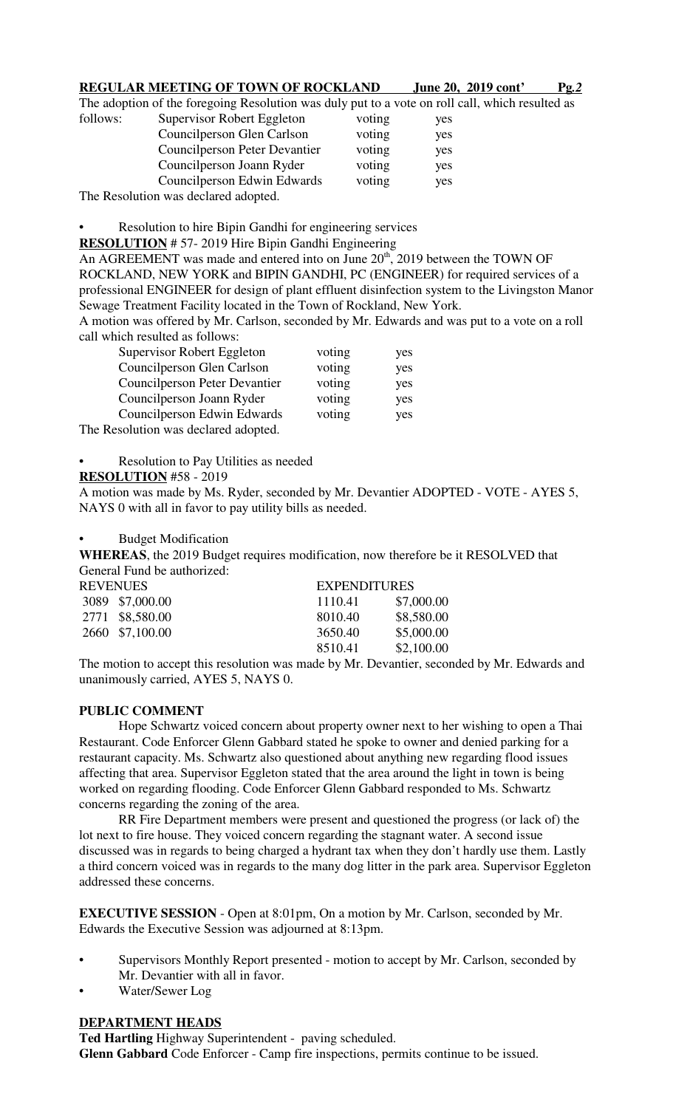#### **REGULAR MEETING OF TOWN OF ROCKLAND June 20, 2019 cont' Pg***.2*

The adoption of the foregoing Resolution was duly put to a vote on roll call, which resulted as

| follows: | Supervisor Robert Eggleton           | voting | yes |
|----------|--------------------------------------|--------|-----|
|          | Councilperson Glen Carlson           | voting | yes |
|          | <b>Councilperson Peter Devantier</b> | voting | yes |
|          | Councilperson Joann Ryder            | voting | yes |
|          | Councilperson Edwin Edwards          | voting | yes |
|          | The Resolution was declared adopted. |        |     |

Resolution to hire Bipin Gandhi for engineering services **RESOLUTION** # 57- 2019 Hire Bipin Gandhi Engineering

An AGREEMENT was made and entered into on June 20<sup>th</sup>, 2019 between the TOWN OF ROCKLAND, NEW YORK and BIPIN GANDHI, PC (ENGINEER) for required services of a professional ENGINEER for design of plant effluent disinfection system to the Livingston Manor Sewage Treatment Facility located in the Town of Rockland, New York.

A motion was offered by Mr. Carlson, seconded by Mr. Edwards and was put to a vote on a roll call which resulted as follows:

| Supervisor Robert Eggleton           | voting | yes |
|--------------------------------------|--------|-----|
| Councilperson Glen Carlson           | voting | yes |
| Councilperson Peter Devantier        | voting | yes |
| Councilperson Joann Ryder            | voting | yes |
| Councilperson Edwin Edwards          | voting | yes |
| The Resolution was declared adopted. |        |     |

• Resolution to Pay Utilities as needed

# **RESOLUTION** #58 - 2019

A motion was made by Ms. Ryder, seconded by Mr. Devantier ADOPTED - VOTE - AYES 5, NAYS 0 with all in favor to pay utility bills as needed.

## • Budget Modification

**WHEREAS**, the 2019 Budget requires modification, now therefore be it RESOLVED that General Fund be authorized:

| REVENUES        |         | <b>EXPENDITURES</b> |  |
|-----------------|---------|---------------------|--|
| 3089 \$7,000.00 | 1110.41 | \$7,000.00          |  |
| 2771 \$8,580.00 | 8010.40 | \$8,580.00          |  |
| 2660 \$7,100.00 | 3650.40 | \$5,000.00          |  |
|                 | 8510.41 | \$2,100.00          |  |

The motion to accept this resolution was made by Mr. Devantier, seconded by Mr. Edwards and unanimously carried, AYES 5, NAYS 0.

# **PUBLIC COMMENT**

Hope Schwartz voiced concern about property owner next to her wishing to open a Thai Restaurant. Code Enforcer Glenn Gabbard stated he spoke to owner and denied parking for a restaurant capacity. Ms. Schwartz also questioned about anything new regarding flood issues affecting that area. Supervisor Eggleton stated that the area around the light in town is being worked on regarding flooding. Code Enforcer Glenn Gabbard responded to Ms. Schwartz concerns regarding the zoning of the area.

RR Fire Department members were present and questioned the progress (or lack of) the lot next to fire house. They voiced concern regarding the stagnant water. A second issue discussed was in regards to being charged a hydrant tax when they don't hardly use them. Lastly a third concern voiced was in regards to the many dog litter in the park area. Supervisor Eggleton addressed these concerns.

**EXECUTIVE SESSION** - Open at 8:01pm, On a motion by Mr. Carlson, seconded by Mr. Edwards the Executive Session was adjourned at 8:13pm.

- Supervisors Monthly Report presented motion to accept by Mr. Carlson, seconded by Mr. Devantier with all in favor.
- Water/Sewer Log

# **DEPARTMENT HEADS**

**Ted Hartling** Highway Superintendent - paving scheduled. **Glenn Gabbard** Code Enforcer - Camp fire inspections, permits continue to be issued.